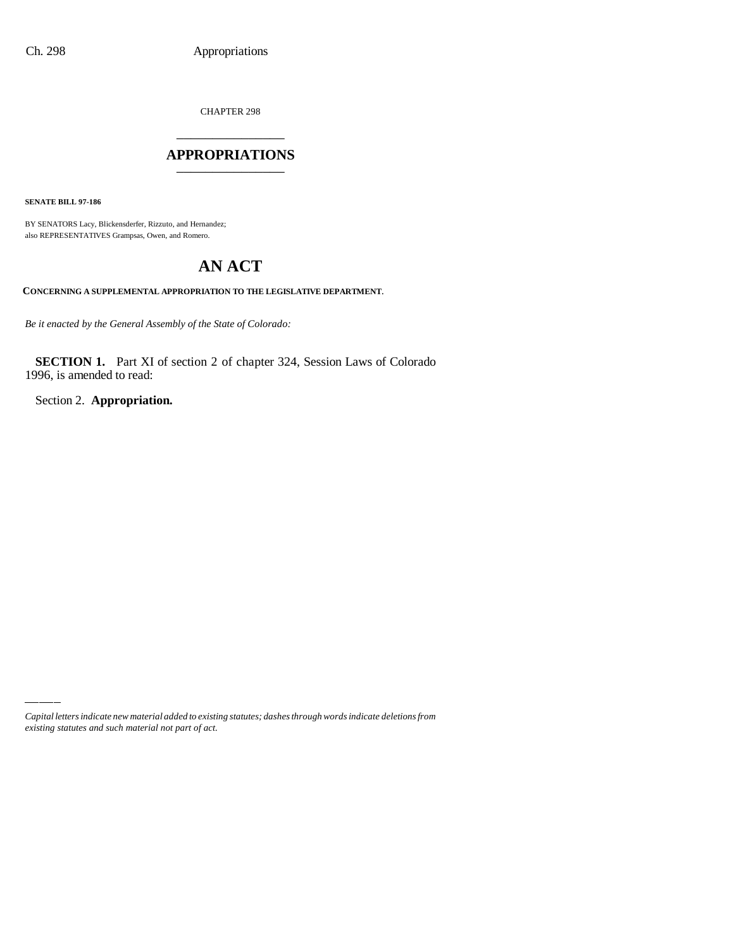CHAPTER 298

## \_\_\_\_\_\_\_\_\_\_\_\_\_\_\_ **APPROPRIATIONS** \_\_\_\_\_\_\_\_\_\_\_\_\_\_\_

**SENATE BILL 97-186**

BY SENATORS Lacy, Blickensderfer, Rizzuto, and Hernandez; also REPRESENTATIVES Grampsas, Owen, and Romero.

## **AN ACT**

**CONCERNING A SUPPLEMENTAL APPROPRIATION TO THE LEGISLATIVE DEPARTMENT**.

*Be it enacted by the General Assembly of the State of Colorado:*

**SECTION 1.** Part XI of section 2 of chapter 324, Session Laws of Colorado 1996, is amended to read:

Section 2. **Appropriation.**

*Capital letters indicate new material added to existing statutes; dashes through words indicate deletions from existing statutes and such material not part of act.*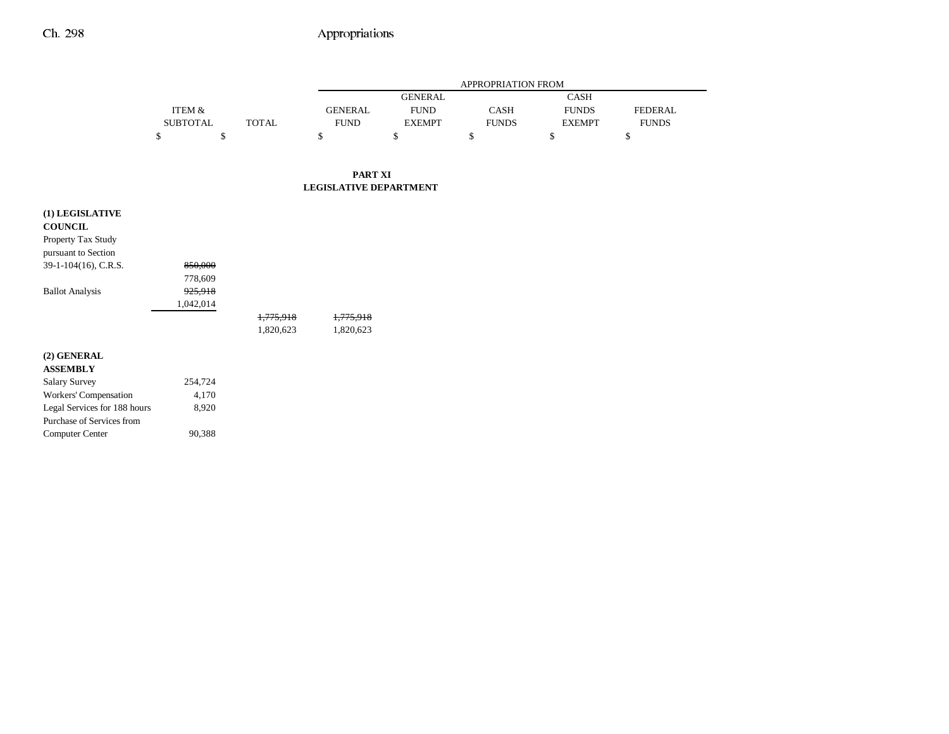## Ch. 298 Appropriations

 $\overline{\phantom{0}}$ 

|                              |                 | APPROPRIATION FROM |                               |                |              |                               |                                |  |  |
|------------------------------|-----------------|--------------------|-------------------------------|----------------|--------------|-------------------------------|--------------------------------|--|--|
|                              |                 |                    |                               | <b>GENERAL</b> |              | CASH                          |                                |  |  |
|                              | ITEM &          | <b>TOTAL</b>       | <b>GENERAL</b>                | <b>FUND</b>    | <b>CASH</b>  | <b>FUNDS</b><br><b>EXEMPT</b> | <b>FEDERAL</b><br><b>FUNDS</b> |  |  |
|                              | <b>SUBTOTAL</b> |                    | <b>FUND</b>                   | <b>EXEMPT</b>  | <b>FUNDS</b> |                               |                                |  |  |
|                              | \$<br>\$        |                    | \$                            | \$             | \$           | \$                            | \$                             |  |  |
|                              |                 |                    | <b>PART XI</b>                |                |              |                               |                                |  |  |
|                              |                 |                    | <b>LEGISLATIVE DEPARTMENT</b> |                |              |                               |                                |  |  |
| (1) LEGISLATIVE              |                 |                    |                               |                |              |                               |                                |  |  |
| <b>COUNCIL</b>               |                 |                    |                               |                |              |                               |                                |  |  |
| Property Tax Study           |                 |                    |                               |                |              |                               |                                |  |  |
| pursuant to Section          |                 |                    |                               |                |              |                               |                                |  |  |
| 39-1-104(16), C.R.S.         | 850,000         |                    |                               |                |              |                               |                                |  |  |
|                              | 778,609         |                    |                               |                |              |                               |                                |  |  |
| <b>Ballot Analysis</b>       | 925,918         |                    |                               |                |              |                               |                                |  |  |
|                              | 1,042,014       |                    |                               |                |              |                               |                                |  |  |
|                              |                 | 1,775,918          | 1,775,918                     |                |              |                               |                                |  |  |
|                              |                 | 1,820,623          | 1,820,623                     |                |              |                               |                                |  |  |
| (2) GENERAL                  |                 |                    |                               |                |              |                               |                                |  |  |
| <b>ASSEMBLY</b>              |                 |                    |                               |                |              |                               |                                |  |  |
| <b>Salary Survey</b>         | 254,724         |                    |                               |                |              |                               |                                |  |  |
| Workers' Compensation        | 4,170           |                    |                               |                |              |                               |                                |  |  |
| Legal Services for 188 hours | 8,920           |                    |                               |                |              |                               |                                |  |  |
| Purchase of Services from    |                 |                    |                               |                |              |                               |                                |  |  |
| Computer Center              | 90,388          |                    |                               |                |              |                               |                                |  |  |